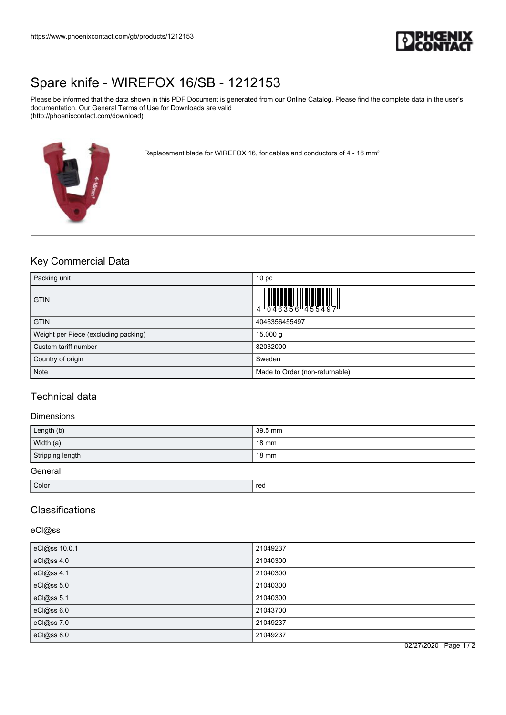

# [Spare knife - WIREFOX 16/SB - 1212153](https://www.phoenixcontact.com/gb/products/1212153)

Please be informed that the data shown in this PDF Document is generated from our Online Catalog. Please find the complete data in the user's documentation. Our General Terms of Use for Downloads are valid (http://phoenixcontact.com/download)



Replacement blade for WIREFOX 16, for cables and conductors of 4 - 16 mm²

# Key Commercial Data

| Packing unit                         | 10 <sub>p</sub>                |
|--------------------------------------|--------------------------------|
| <b>GTIN</b>                          |                                |
| <b>GTIN</b>                          | 4046356455497                  |
| Weight per Piece (excluding packing) | 15.000 g                       |
| Custom tariff number                 | 82032000                       |
| Country of origin                    | Sweden                         |
| <b>Note</b>                          | Made to Order (non-returnable) |

## Technical data

#### Dimensions

| Length (b)       | 39.5 mm         |
|------------------|-----------------|
| Width (a)        | 18 mm           |
| Stripping length | $18 \text{ mm}$ |
| General          |                 |

Color in the color color color color color color color color color color color color color color color color co

## **Classifications**

eCl@ss

| eCl@ss 10.0.1 | 21049237 |
|---------------|----------|
| eCl@ss 4.0    | 21040300 |
| eCl@ss 4.1    | 21040300 |
| eCl@ss 5.0    | 21040300 |
| eCl@ss 5.1    | 21040300 |
| eCl@ss 6.0    | 21043700 |
| eCl@ss 7.0    | 21049237 |
| eCl@ss 8.0    | 21049237 |

02/27/2020 Page 1 / 2